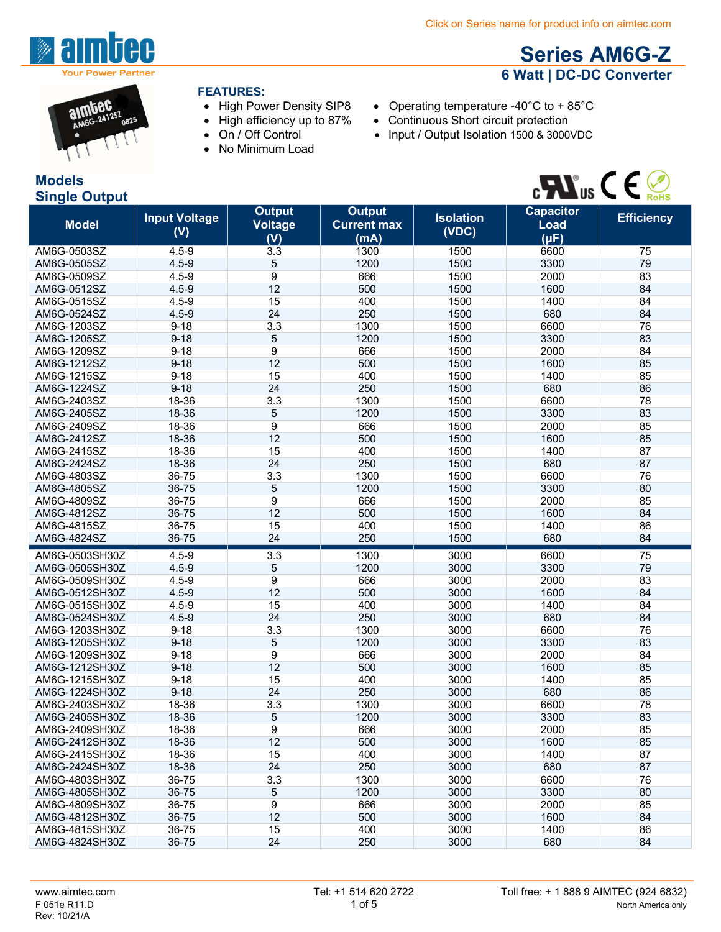$\bullet$  Continuous Short circuit protection

• Input / Output Isolation 1500 & 3000VDC



#### **FEATURES:**

- 
- High Power Density SIP8 Operating temperature -40°C to + 85°C<br>• High efficiency up to 87% Continuous Short circuit protection
- On / Off Control
- No Minimum Load

#### **Models Single Output**

# $\mathcal{C}$   $\mathbf{W}_{\text{us}}$   $\mathcal{C} \in \mathcal{C}$

**Series AM6G-Z 6 Watt | DC-DC Converter**

| <b>Model</b>                     | <b>Input Voltage</b><br>(V) | <b>Output</b><br><b>Voltage</b><br>(V) | <b>Output</b><br><b>Current max</b><br>(mA) | <b>Isolation</b><br>(VDC) | <b>Capacitor</b><br><b>Load</b><br>$(\mu F)$ | <b>Efficiency</b> |
|----------------------------------|-----------------------------|----------------------------------------|---------------------------------------------|---------------------------|----------------------------------------------|-------------------|
| AM6G-0503SZ                      | $4.5 - 9$                   | 3.3                                    | 1300                                        | 1500                      | 6600                                         | 75                |
| AM6G-0505SZ                      | $4.5 - 9$                   | 5                                      | 1200                                        | 1500                      | 3300                                         | 79                |
| AM6G-0509SZ                      | $4.5 - 9$                   | 9                                      | 666                                         | 1500                      | 2000                                         | 83                |
| AM6G-0512SZ                      | $4.5 - 9$                   | 12                                     | 500                                         | 1500                      | 1600                                         | 84                |
| AM6G-0515SZ                      | $4.5 - 9$                   | 15                                     | 400                                         | 1500                      | 1400                                         | 84                |
| AM6G-0524SZ                      | $4.5 - 9$                   | 24                                     | 250                                         | 1500                      | 680                                          | 84                |
| AM6G-1203SZ                      | $9 - 18$                    | 3.3                                    | 1300                                        | 1500                      | 6600                                         | 76                |
| AM6G-1205SZ                      | $9 - 18$                    | 5                                      | 1200                                        | 1500                      | 3300                                         | 83                |
| AM6G-1209SZ                      | $9 - 18$                    | 9                                      | 666                                         | 1500                      | 2000                                         | 84                |
| AM6G-1212SZ                      | $9 - 18$                    | 12                                     | 500                                         | 1500                      | 1600                                         | 85                |
| AM6G-1215SZ                      | $9 - 18$                    | 15                                     | 400                                         | 1500                      | 1400                                         | 85                |
| AM6G-1224SZ                      | $9 - 18$                    | 24                                     | 250                                         | 1500                      | 680                                          | 86                |
| AM6G-2403SZ                      | 18-36                       | 3.3                                    | 1300                                        | 1500                      | 6600                                         | 78                |
| AM6G-2405SZ                      | 18-36                       | 5                                      | 1200                                        | 1500                      | 3300                                         | 83                |
| AM6G-2409SZ                      | 18-36                       | 9                                      | 666                                         | 1500                      | 2000                                         | 85                |
| AM6G-2412SZ                      | 18-36                       | 12                                     | 500                                         | 1500                      | 1600                                         | 85                |
| AM6G-2415SZ                      | 18-36                       | 15                                     | 400                                         | 1500                      | 1400                                         | 87                |
| AM6G-2424SZ                      | 18-36                       | 24                                     | 250                                         | 1500                      | 680                                          | 87                |
| AM6G-4803SZ                      | 36-75                       | 3.3                                    | 1300                                        | 1500                      | 6600                                         | 76                |
| AM6G-4805SZ                      | 36-75                       | 5                                      | 1200                                        | 1500                      | 3300                                         | 80                |
| AM6G-4809SZ                      | 36-75                       | 9                                      | 666                                         | 1500                      | 2000                                         | 85                |
| AM6G-4812SZ                      | 36-75                       | 12                                     | 500                                         | 1500                      | 1600                                         | 84                |
| AM6G-4815SZ                      | 36-75                       | 15                                     | 400                                         | 1500                      | 1400                                         | 86                |
| AM6G-4824SZ                      | 36-75                       | 24                                     | 250                                         | 1500                      | 680                                          | 84                |
|                                  |                             |                                        |                                             |                           |                                              |                   |
| AM6G-0503SH30Z                   | $4.5 - 9$<br>$4.5 - 9$      | 3.3<br>5                               | 1300<br>1200                                | 3000<br>3000              | 6600<br>3300                                 | 75<br>79          |
| AM6G-0505SH30Z                   |                             |                                        | 666                                         |                           | 2000                                         | 83                |
| AM6G-0509SH30Z                   | $4.5 - 9$<br>$4.5 - 9$      | 9<br>12                                | 500                                         | 3000<br>3000              | 1600                                         | 84                |
| AM6G-0512SH30Z<br>AM6G-0515SH30Z | $4.5 - 9$                   | 15                                     | 400                                         | 3000                      | 1400                                         | 84                |
| AM6G-0524SH30Z                   | $4.5 - 9$                   | 24                                     | 250                                         | 3000                      | 680                                          | 84                |
| AM6G-1203SH30Z                   | $9 - 18$                    | 3.3                                    | 1300                                        | 3000                      | 6600                                         | 76                |
| AM6G-1205SH30Z                   | $9 - 18$                    | 5                                      | 1200                                        | 3000                      | 3300                                         | 83                |
| AM6G-1209SH30Z                   | $9 - 18$                    | 9                                      | 666                                         | 3000                      | 2000                                         | 84                |
| AM6G-1212SH30Z                   | $9 - 18$                    | 12                                     | 500                                         | 3000                      | 1600                                         | 85                |
| AM6G-1215SH30Z                   | $9 - 18$                    | 15                                     | 400                                         | 3000                      | 1400                                         | 85                |
| AM6G-1224SH30Z                   | $9 - 18$                    | 24                                     | 250                                         | 3000                      | 680                                          | 86                |
| AM6G-2403SH30Z                   | 18-36                       | 3.3                                    | 1300                                        | 3000                      | 6600                                         | 78                |
| AM6G-2405SH30Z                   | 18-36                       | 5                                      | 1200                                        | 3000                      | 3300                                         | 83                |
| AM6G-2409SH30Z                   | 18-36                       | 9                                      | 666                                         | 3000                      | 2000                                         | 85                |
| AM6G-2412SH30Z                   | 18-36                       | 12                                     | 500                                         | 3000                      | 1600                                         | 85                |
| AM6G-2415SH30Z                   | 18-36                       | 15                                     | 400                                         | 3000                      | 1400                                         | 87                |
| AM6G-2424SH30Z                   | 18-36                       | 24                                     | 250                                         | 3000                      | 680                                          | 87                |
| AM6G-4803SH30Z                   | 36-75                       | 3.3                                    | 1300                                        | 3000                      | 6600                                         | 76                |
| AM6G-4805SH30Z                   | 36-75                       | 5                                      | 1200                                        | 3000                      | 3300                                         | 80                |
| AM6G-4809SH30Z                   | 36-75                       | 9                                      | 666                                         | 3000                      | 2000                                         | 85                |
| AM6G-4812SH30Z                   | 36-75                       | 12                                     | 500                                         | 3000                      | 1600                                         | 84                |
| AM6G-4815SH30Z                   | 36-75                       | 15                                     | 400                                         | 3000                      | 1400                                         | 86                |
| AM6G-4824SH30Z                   | 36-75                       | 24                                     | 250                                         | 3000                      | 680                                          | 84                |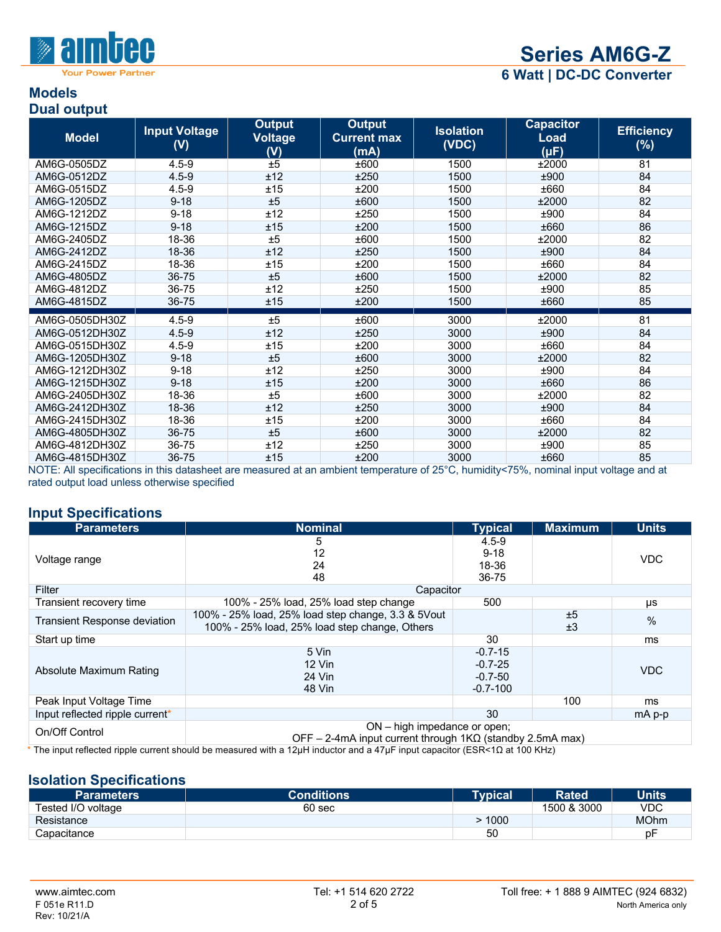

four Power Partner

**6 Watt | DC-DC Converter**

#### **Models Dual output**

| <b>Model</b>   | <b>Input Voltage</b><br>(V) | <b>Output</b><br><b>Voltage</b><br>(V) | <b>Output</b><br><b>Current max</b><br>(mA) | <b>Isolation</b><br>(VDC) | <b>Capacitor</b><br>Load<br>$(\mu F)$ | <b>Efficiency</b><br>$(\%)$ |
|----------------|-----------------------------|----------------------------------------|---------------------------------------------|---------------------------|---------------------------------------|-----------------------------|
| AM6G-0505DZ    | $4.5 - 9$                   | ±5                                     | ±600                                        | 1500                      | ±2000                                 | 81                          |
| AM6G-0512DZ    | $4.5 - 9$                   | ±12                                    | ±250                                        | 1500                      | ±900                                  | 84                          |
| AM6G-0515DZ    | $4.5 - 9$                   | ±15                                    | ±200                                        | 1500                      | ±660                                  | 84                          |
| AM6G-1205DZ    | $9 - 18$                    | ±5                                     | ±600                                        | 1500                      | ±2000                                 | 82                          |
| AM6G-1212DZ    | $9 - 18$                    | ±12                                    | ±250                                        | 1500                      | ±900                                  | 84                          |
| AM6G-1215DZ    | $9 - 18$                    | ±15                                    | ±200                                        | 1500                      | ±660                                  | 86                          |
| AM6G-2405DZ    | 18-36                       | ±5                                     | ±600                                        | 1500                      | ±2000                                 | 82                          |
| AM6G-2412DZ    | 18-36                       | ±12                                    | ±250                                        | 1500                      | ±900                                  | 84                          |
| AM6G-2415DZ    | 18-36                       | ±15                                    | ±200                                        | 1500                      | ±660                                  | 84                          |
| AM6G-4805DZ    | 36-75                       | ±5                                     | ±600                                        | 1500                      | ±2000                                 | 82                          |
| AM6G-4812DZ    | 36-75                       | ±12                                    | ±250                                        | 1500                      | ±900                                  | 85                          |
| AM6G-4815DZ    | 36-75                       | ±15                                    | ±200                                        | 1500                      | ±660                                  | 85                          |
| AM6G-0505DH30Z | $4.5 - 9$                   | ±5                                     | ±600                                        | 3000                      | ±2000                                 | 81                          |
| AM6G-0512DH30Z | $4.5 - 9$                   | ±12                                    | ±250                                        | 3000                      | ±900                                  | 84                          |
| AM6G-0515DH30Z | $4.5 - 9$                   | ±15                                    | ±200                                        | 3000                      | ±660                                  | 84                          |
| AM6G-1205DH30Z | $9 - 18$                    | ±5                                     | ±600                                        | 3000                      | ±2000                                 | 82                          |
| AM6G-1212DH30Z | $9 - 18$                    | ±12                                    | ±250                                        | 3000                      | ±900                                  | 84                          |
| AM6G-1215DH30Z | $9 - 18$                    | ±15                                    | ±200                                        | 3000                      | ±660                                  | 86                          |
| AM6G-2405DH30Z | 18-36                       | ±5                                     | ±600                                        | 3000                      | ±2000                                 | 82                          |
| AM6G-2412DH30Z | 18-36                       | ±12                                    | ±250                                        | 3000                      | ±900                                  | 84                          |
| AM6G-2415DH30Z | 18-36                       | ±15                                    | ±200                                        | 3000                      | ±660                                  | 84                          |
| AM6G-4805DH30Z | 36-75                       | ±5                                     | ±600                                        | 3000                      | ±2000                                 | 82                          |
| AM6G-4812DH30Z | 36-75                       | ±12                                    | ±250                                        | 3000                      | ±900                                  | 85                          |
| AM6G-4815DH30Z | 36-75                       | ±15                                    | ±200                                        | 3000                      | ±660                                  | 85                          |

NOTE: All specifications in this datasheet are measured at an ambient temperature of 25°C, humidity<75%, nominal input voltage and at rated output load unless otherwise specified

#### **Input Specifications**

| <b>Parameters</b>                   | <b>Nominal</b>                                                   | <b>Typical</b> | <b>Maximum</b> | <b>Units</b> |  |
|-------------------------------------|------------------------------------------------------------------|----------------|----------------|--------------|--|
|                                     | 5                                                                | $4.5 - 9$      |                |              |  |
| Voltage range                       | 12                                                               | $9 - 18$       |                | <b>VDC</b>   |  |
|                                     | 24                                                               | 18-36          |                |              |  |
|                                     | 48                                                               | 36-75          |                |              |  |
| Filter                              | Capacitor                                                        |                |                |              |  |
| Transient recovery time             | 100% - 25% load, 25% load step change                            | 500            |                | μs           |  |
| <b>Transient Response deviation</b> | 100% - 25% load, 25% load step change, 3.3 & 5Vout               |                | ±5             | $\%$         |  |
|                                     | 100% - 25% load, 25% load step change, Others                    |                | ±3             |              |  |
| Start up time                       |                                                                  | 30             |                | ms           |  |
|                                     | 5 Vin                                                            | $-0.7 - 15$    |                |              |  |
| Absolute Maximum Rating             | $12$ Vin                                                         | $-0.7 - 25$    |                | <b>VDC</b>   |  |
|                                     | 24 Vin                                                           | $-0.7 - 50$    |                |              |  |
|                                     | 48 Vin                                                           | $-0.7 - 100$   |                |              |  |
| Peak Input Voltage Time             |                                                                  |                | 100            | ms           |  |
| Input reflected ripple current*     |                                                                  | 30             |                | mA p-p       |  |
| On/Off Control                      | $ON - high$ impedance or open;                                   |                |                |              |  |
|                                     | OFF – 2-4mA input current through $1K\Omega$ (standby 2.5mA max) |                |                |              |  |

\* The input reflected ripple current should be measured with a 12μH inductor and a 47μF input capacitor (ESR<1Ω at 100 KHz)

#### **Isolation Specifications**

| <b>Parameters</b>  | <b>Conditions</b> | <b>Typical</b> | <b>Rated</b> | <b>Units</b> |
|--------------------|-------------------|----------------|--------------|--------------|
| Tested I/O voltage | 60 sec            |                | 1500 & 3000  | VDC          |
| Resistance         |                   | 1000           |              | <b>MOhm</b>  |
| Capacitance        |                   | 50             |              | p⊦           |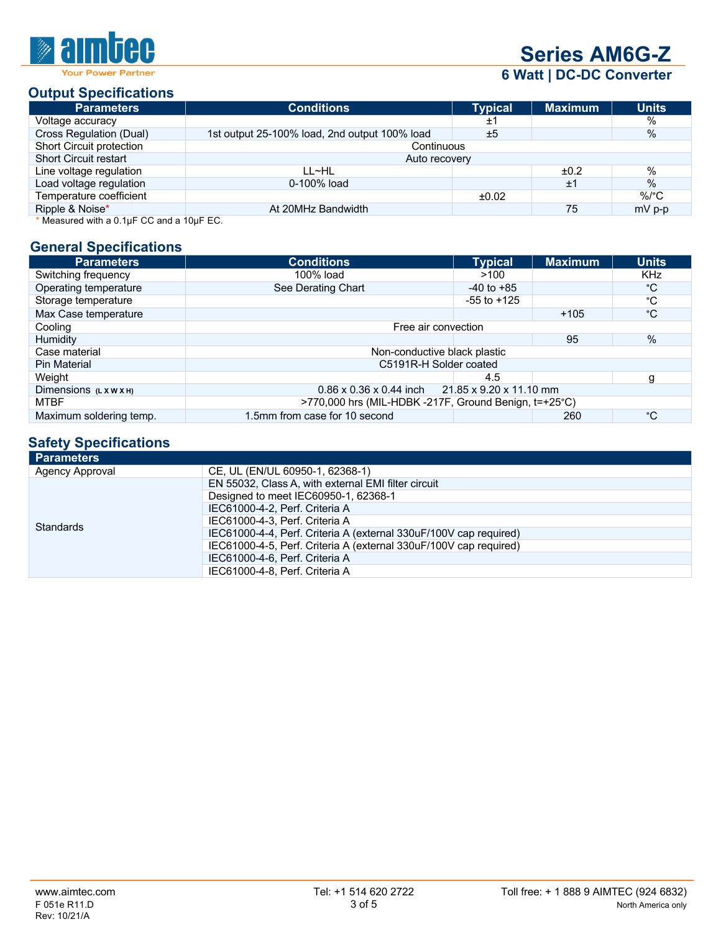### AA Ŵ

## **Series AM6G-Z**

**6 Watt | DC-DC Converter**

#### **Output Specifications**

| <b>Parameters</b>                            | <b>Conditions</b>                             | <b>Typical</b> | <b>Maximum</b> | <b>Units</b> |  |  |
|----------------------------------------------|-----------------------------------------------|----------------|----------------|--------------|--|--|
| Voltage accuracy                             |                                               | ±1             |                | %            |  |  |
| Cross Regulation (Dual)                      | 1st output 25-100% load, 2nd output 100% load | ±5             |                | %            |  |  |
| Short Circuit protection                     | Continuous                                    |                |                |              |  |  |
| <b>Short Circuit restart</b>                 | Auto recovery                                 |                |                |              |  |  |
| Line voltage regulation                      | LL~HL                                         |                | ±0.2           | $\%$         |  |  |
| Load voltage regulation                      | 0-100% load                                   |                | ±1             | $\%$         |  |  |
| Temperature coefficient                      |                                               | ±0.02          |                | $\%$ /°C     |  |  |
| Ripple & Noise*                              | At 20MHz Bandwidth                            |                | 75             | $mV$ p-p     |  |  |
| $+11$ $-1$ $-1$ $-21$ $-22$ $-1$ $-10$ $-12$ |                                               |                |                |              |  |  |

Measured with a  $0.1\mu$ F CC and a  $10\mu$ F EC.

#### **General Specifications**

| <b>Parameters</b>       | <b>Conditions</b>                                           | <b>Typical</b>  | <b>Maximum</b> | <b>Units</b> |  |
|-------------------------|-------------------------------------------------------------|-----------------|----------------|--------------|--|
| Switching frequency     | 100% load                                                   | >100            |                | <b>KHz</b>   |  |
| Operating temperature   | See Derating Chart                                          | $-40$ to $+85$  |                | °С           |  |
| Storage temperature     |                                                             | $-55$ to $+125$ |                | °C           |  |
| Max Case temperature    |                                                             |                 | $+105$         | °С           |  |
| Cooling                 | Free air convection                                         |                 |                |              |  |
| <b>Humidity</b>         |                                                             |                 | 95             | %            |  |
| Case material           | Non-conductive black plastic                                |                 |                |              |  |
| <b>Pin Material</b>     | C5191R-H Solder coated                                      |                 |                |              |  |
| Weight                  |                                                             | 4.5             |                | g            |  |
| Dimensions (LXWXH)      | $0.86 \times 0.36 \times 0.44$ inch 21.85 x 9.20 x 11.10 mm |                 |                |              |  |
| <b>MTBF</b>             | >770,000 hrs (MIL-HDBK -217F, Ground Benign, t=+25°C)       |                 |                |              |  |
| Maximum soldering temp. | 1.5mm from case for 10 second                               |                 | 260            | °C           |  |

#### **Safety Specifications**

| <b>Parameters</b>      |                                                                   |
|------------------------|-------------------------------------------------------------------|
| <b>Agency Approval</b> | CE, UL (EN/UL 60950-1, 62368-1)                                   |
|                        | EN 55032, Class A, with external EMI filter circuit               |
|                        | Designed to meet IEC60950-1, 62368-1                              |
|                        | IEC61000-4-2, Perf. Criteria A                                    |
| <b>Standards</b>       | IEC61000-4-3. Perf. Criteria A                                    |
|                        | IEC61000-4-4, Perf. Criteria A (external 330uF/100V cap required) |
|                        | IEC61000-4-5, Perf. Criteria A (external 330uF/100V cap required) |
|                        | IEC61000-4-6, Perf. Criteria A                                    |
|                        | IEC61000-4-8, Perf. Criteria A                                    |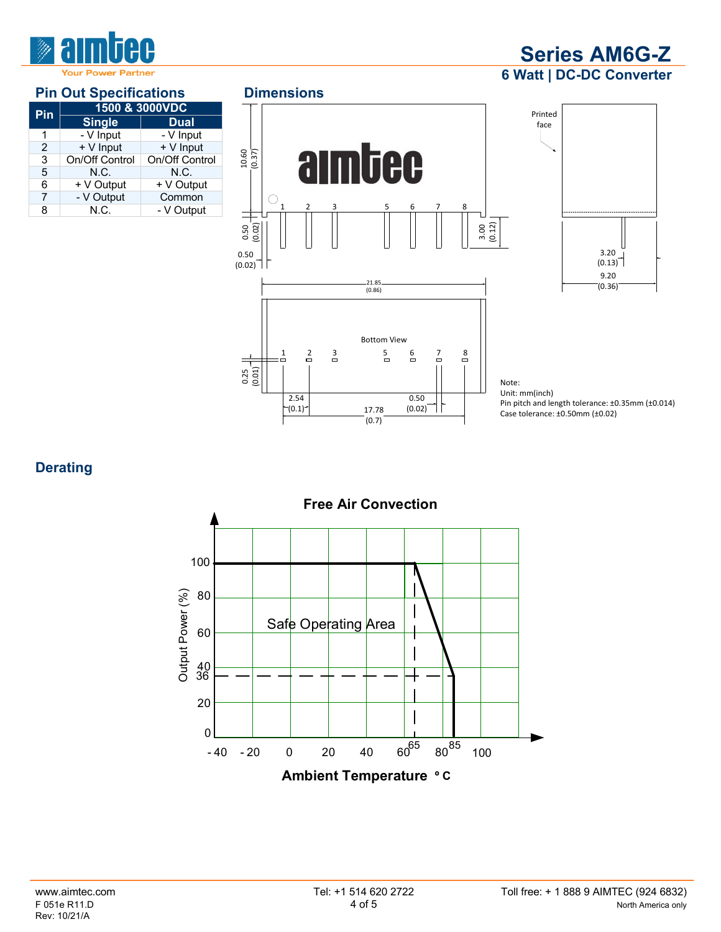

#### **Pin Out Specifications Dimensions**

| 1500 & 3000VDC     |                             |  |  |
|--------------------|-----------------------------|--|--|
| <b>Single</b>      | <b>Dual</b>                 |  |  |
| - V Input          | - V Input                   |  |  |
|                    | + V Input                   |  |  |
|                    | On/Off Control              |  |  |
| N.C.               | N.C.                        |  |  |
| + V Output         | + V Output                  |  |  |
| - V Output         | Common                      |  |  |
| N.C.<br>- V Output |                             |  |  |
|                    | + V Input<br>On/Off Control |  |  |





**Series AM6G-Z 6 Watt | DC-DC Converter**

Note: Unit: mm(inch) Pin pitch and length tolerance: ±0.35mm (±0.014) Case tolerance: ±0.50mm (±0.02)

**Derating**